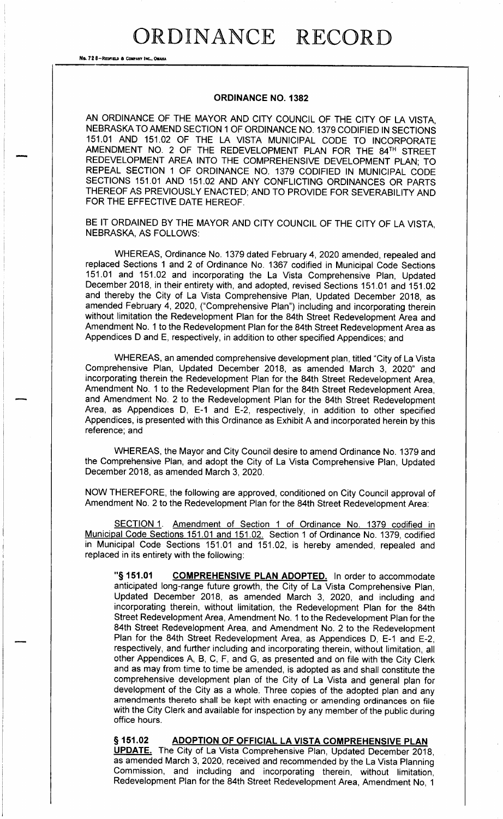## DRDINANCE RECORD

No. 72 8-REDFIELD & COMPANY INC., OMAHA

## **ORDINANCE NO. 1382**

AN ORDINANCE OF THE MAYOR AND CITY COUNCIL OF THE CITY OF LA VISTA, NEBRASKA TO AMEND SECTION 1 OF ORDINANCE NO. 1379 CODIFIED IN SECTIONS 151.01 AND 151.02 OF THE LA VISTA MUNICIPAL CODE TO INCORPORATE AMENDMENT NO. 2 OF THE REDEVELOPMENT PLAN FOR THE 84TH STREET REDEVELOPMENT AREA INTO THE COMPREHENSIVE DEVELOPMENT PLAN; TO REPEAL SECTION 1 OF ORDINANCE NO. 1379 CODIFIED IN MUNICIPAL CODE SECTIONS 151.01 AND 151.02 AND ANY CONFLICTING ORDINANCES OR PARTS THEREOF AS PREVIOUSLY ENACTED; AND TO PROVIDE FOR SEVERABILITY AND FOR THE EFFECTIVE DATE HEREOF.

BE IT ORDAINED BY THE MAYOR AND CITY COUNCIL OF THE CITY OF LA VISTA, NEBRASKA, AS FOLLOWS:

WHEREAS, Ordinance No. 1379 dated February 4, 2020 amended, repealed and replaced Sections 1 and 2 of Ordinance No. 1367 codified in Municipal Code Sections 151.01 and 151.02 and incorporating the La Vista Comprehensive Plan, Updated December 2018, in their entirety with, and adopted, revised Sections 151.01 and 151.02 and thereby the City of La Vista Comprehensive Plan, Updated December 2018, as amended February 4, 2020, ("Comprehensive Plan") including and incorporating therein without limitation the Redevelopment Plan for the 84th Street Redevelopment Area and Amendment No. 1 to the Redevelopment Plan for the 84th Street Redevelopment Area as Appendices D and E, respectively, in addition to other specified Appendices; and

WHEREAS, an amended comprehensive development plan, titled "City of La Vista Comprehensive Plan, Updated December 2018, as amended March 3, 2020" and incorporating therein the Redevelopment Plan for the 84th Street Redevelopment Area, Amendment No. 1 to the Redevelopment Plan for the 84th Street Redevelopment Area. and Amendment No. 2 to the Redevelopment Plan for the 84th Street Redevelopment Area, as Appendices D, E-1 and E-2, respectively, in addition to other specified Appendices, is presented with this Ordinance as Exhibit A and incorporated herein by this reference; and

WHEREAS, the Mayor and City Council desire to amend Ordinance No. 1379 and the Comprehensive Plan, and adopt the City of La Vista Comprehensive Plan, Updated December 2018, as amended March 3, 2020.

NOW THEREFORE, the following are approved, conditioned on City Council approval of Amendment No. 2 to the Redevelopment Plan for the 84th Street Redevelopment Area:

SECTION 1. Amendment of Section 1 of Ordinance No. 1379 codified in Municipal Code Sections 151.01 and 151.02. Section 1 of Ordinance No. 1379, codified in Municipal Code Sections 151.01 and 151.02, is hereby amended, repealed and replaced in its entirety with the following:

"§ 151.01 **COMPREHENSIVE PLAN ADOPTED.** In order to accommodate anticipated long-range future growth, the City of La Vista Comprehensive Plan, Updated December 2018, as amended March 3, 2020, and including and incorporating therein, without limitation, the Redevelopment Plan for the 84th Street Redevelopment Area, Amendment No. 1 to the Redevelopment Plan for the 84th Street Redevelopment Area, and Amendment No. 2 to the Redevelopment Plan for the 84th Street Redevelopment Area, as Appendices D, E-1 and E-2, respectively, and further including and incorporating therein, without limitation, all other Appendices A, B, C, F, and G, as presented and on file with the City Clerk and as may from time to time be amended, is adopted as and shall constitute the comprehensive development plan of the City of La Vista and general plan for development of the City as a whole. Three copies of the adopted plan and any amendments thereto shall be kept with enacting or amending ordinances on file with the City Clerk and available for inspection by any member of the public during office hours.

§ 151.02 ADOPTION OF OFFICIAL LA VISTA COMPREHENSIVE PLAN **UPDATE.** The City of La Vista Comprehensive Plan, Updated December 2018, as amended March 3, 2020, received and recommended by the La Vista Planning Commission, and including and incorporating therein, without limitation, Redevelopment Plan for the 84th Street Redevelopment Area, Amendment No, 1